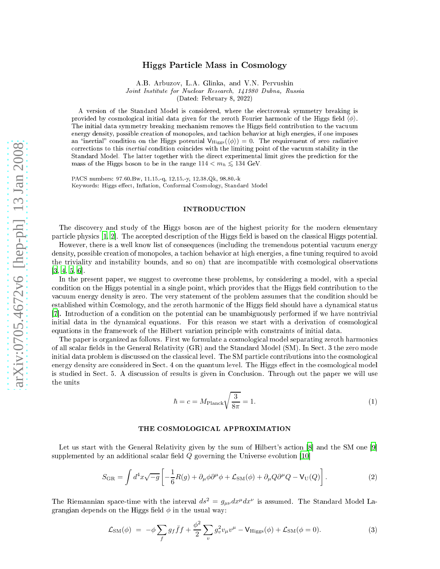# Higgs Parti
le Mass in Cosmology

A.B. Arbuzov, L.A. Glinka, and V.N. Pervushin Joint Institute for Nu
lear Resear
h, 141980 Dubna, Russia

(Dated: February 8, 2022)

A version of the Standard Model is onsidered, where the ele
troweak symmetry breaking is provided by cosmological initial data given for the zeroth Fourier harmonic of the Higgs field  $\langle \phi \rangle$ . The initial data symmetry breaking mechanism removes the Higgs field contribution to the vacuum energy density, possible creation of monopoles, and tachion behavior at high energies, if one imposes an "inertial" condition on the Higgs potential  $V_{\text{Higgs}}(\langle\phi\rangle) = 0$ . The requirement of zero radiative corrections to this *inertial* condition coincides with the limiting point of the vacuum stability in the Standard Model. The latter together with the direct experimental limit gives the prediction for the mass of the Higgs boson to be in the range  $114 < m_h \lesssim 134$  GeV.

PACS numbers: 97.60.Bw, 11.15.-q, 12.15.-y, 12.38.Qk, 98.80.-k Keywords: Higgs effect, Inflation, Conformal Cosmology, Standard Model

### INTRODUCTION

The dis
overy and study of the Higgs boson are of the highest priority for the modern elementary particle physics [\[1,](#page-8-0) [2](#page-8-1)]. The accepted description of the Higgs field is based on the classical Higgs potential.

However, there is a well know list of consequences (including the tremendous potential vacuum energy density, possible creation of monopoles, a tachion behavior at high energies, a fine tuning required to avoid the triviality and instability bounds, and so on) that are incompatible with cosmological observations  $[3, 4, 5, 6].$  $[3, 4, 5, 6].$  $[3, 4, 5, 6].$  $[3, 4, 5, 6].$  $[3, 4, 5, 6].$  $[3, 4, 5, 6].$ 

In the present paper, we suggest to overcome these problems, by considering a model, with a special condition on the Higgs potential in a single point, which provides that the Higgs field contribution to the vacuum energy density is zero. The very statement of the problem assumes that the condition should be established within Cosmology, and the zeroth harmonic of the Higgs field should have a dynamical status [7]. Introduction of a condition on the potential can be unambiguously performed if we have nontrivial initial data in the dynamical equations. For this reason we start with a derivation of cosmological equations in the framework of the Hilbert variation principle with constraints of initial data.

The paper is organized as follows. First we formulate a cosmological model separating zeroth harmonics of all scalar fields in the General Relativity (GR) and the Standard Model (SM). In Sect. 3 the zero mode initial data problem is discussed on the classical level. The SM particle contributions into the cosmological energy density are considered in Sect. 4 on the quantum level. The Higgs effect in the cosmological model is studied in Se
t. 5. A dis
ussion of results is given in Con
lusion. Through out the paper we will use the units

<span id="page-0-1"></span>
$$
\hbar = c = M_{\text{Planck}} \sqrt{\frac{3}{8\pi}} = 1. \tag{1}
$$

### THE COSMOLOGICAL APPROXIMATION

Let us start with the General Relativity given by the sum of Hilbert's action  $[8]$  $[8]$  and the SM one  $[9]$ supplemented by an additional scalar field  $Q$  governing the Universe evolution [10]

<span id="page-0-0"></span>
$$
S_{\rm GR} = \int d^4x \sqrt{-g} \left[ -\frac{1}{6} R(g) + \partial_\mu \phi \partial^\mu \phi + \mathcal{L}_{\rm SM}(\phi) + \partial_\mu Q \partial^\mu Q - V_{\rm U}(Q) \right]. \tag{2}
$$

The Riemannian space-time with the interval  $ds^2 = g_{\mu\nu} dx^\mu dx^\nu$  is assumed. The Standard Model Lagrangian depends on the Higgs field  $\phi$  in the usual way:

$$
\mathcal{L}_{\rm SM}(\phi) = -\phi \sum_f g_f \bar{f} f + \frac{\phi^2}{2} \sum_v g_v^2 v_\mu v^\mu - V_{\rm Higgs}(\phi) + \mathcal{L}_{\rm SM}(\phi = 0). \tag{3}
$$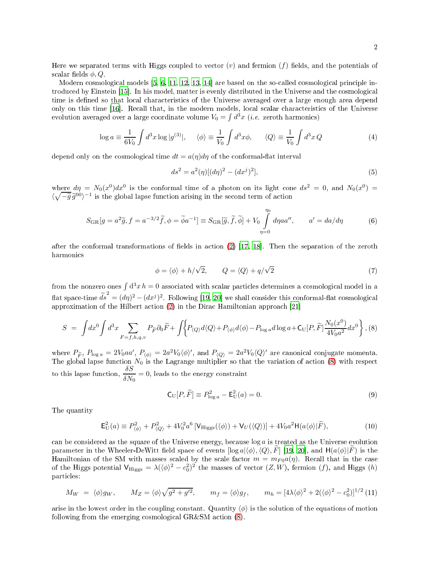Here we separated terms with Higgs coupled to vector  $(v)$  and fermion  $(f)$  fields, and the potentials of scalar fields  $\phi$ , Q.

Modern cosmological models  $[5, 6, 11, 12, 13, 14]$  $[5, 6, 11, 12, 13, 14]$  $[5, 6, 11, 12, 13, 14]$  $[5, 6, 11, 12, 13, 14]$  $[5, 6, 11, 12, 13, 14]$  $[5, 6, 11, 12, 13, 14]$  $[5, 6, 11, 12, 13, 14]$  $[5, 6, 11, 12, 13, 14]$  $[5, 6, 11, 12, 13, 14]$  $[5, 6, 11, 12, 13, 14]$  are based on the so-called cosmological principle introduced by Einstein [15]. In his model, matter is evenly distributed in the Universe and the cosmological time is defined so that local characteristics of the Universe averaged over a large enough area depend only on this time [16]. Recall that, in the modern models, local scalar characteristics of the Universe evolution averaged over a large coordinate volume  $V_0 = \int d^3x$  (*i.e.* zeroth harmonics)

<span id="page-1-1"></span>
$$
\log a \equiv \frac{1}{6V_0} \int d^3x \log|g^{(3)}|, \quad \langle \phi \rangle \equiv \frac{1}{V_0} \int d^3x \phi, \quad \langle Q \rangle \equiv \frac{1}{V_0} \int d^3x Q \tag{4}
$$

depend only on the cosmological time  $dt = a(\eta)d\eta$  of the conformal-flat interval

$$
ds^{2} = a^{2}(\eta)[(d\eta)^{2} - (dx^{j})^{2}],
$$
\n(5)

where  $d\eta = N_0(x^0)dx^0$  is the conformal time of a photon on its light cone  $ds^2 = 0$ , and  $N_0(x^0) =$  $\langle \sqrt{-\tilde{g}} \tilde{g}^{00} \rangle^{-1}$  is the global lapse function arising in the second term of action

<span id="page-1-4"></span>
$$
S_{\rm GR}[g = a^2 \tilde{g}, f = a^{-3/2} \tilde{f}, \phi = \tilde{\phi} a^{-1}] \equiv S_{\rm GR}[\tilde{g}, \tilde{f}, \tilde{\phi}] + V_0 \int_{\eta=0}^{\eta_0} d\eta a a'', \qquad a' = da/d\eta \tag{6}
$$

after the conformal transformations of fields in action  $(2)$  [\[17](#page-8-16), [18](#page-8-17)]. Then the separation of the zeroth harmoni
s

$$
\phi = \langle \phi \rangle + h/\sqrt{2}, \qquad Q = \langle Q \rangle + q/\sqrt{2} \tag{7}
$$

from the nonzero ones  $\int d^3x h = 0$  associated with scalar particles determines a cosmological model in a flat space-time  $\tilde{ds}^2 = (d\eta)^2 - (dx^j)^2$ . Following [\[19](#page-8-18), 20] we shall consider this conformal-flat cosmological approximation of the Hilbert action  $(2)$  in the Dirac Hamiltonian approach  $[21]$ 

<span id="page-1-0"></span>
$$
S = \int dx^0 \int d^3x \sum_{F=f, h, q, v} P_{\widetilde{F}} \partial_0 \widetilde{F} + \int \Big\{ P_{\langle Q \rangle} d\langle Q \rangle + P_{\langle \phi \rangle} d\langle \phi \rangle - P_{\log a} d\log a + C_{\text{U}}[P, \widetilde{F}] \frac{N_0(x^0)}{4V_0 a^2} dx^0 \Big\} , (8)
$$

where  $P_{\widetilde{F}}$ ,  $P_{\log a} = 2V_0aa'$ ,  $P_{\langle \phi \rangle} = 2a^2V_0\langle \phi \rangle'$ , and  $P_{\langle Q \rangle} = 2a^2V_0\langle Q \rangle'$  are canonical conjugate momenta.<br>The global lapse function  $N_0$  is the Lagrange multiplier so that the variation of action ( to this lapse function,  $\frac{\delta S}{\delta \omega}$  $\frac{\partial \mathcal{L}}{\partial N_0} = 0$ , leads to the energy constraint

<span id="page-1-3"></span>
$$
\mathsf{C}_{\mathrm{U}}[P,\widetilde{F}] \equiv P_{\log a}^2 - \mathsf{E}_{\mathrm{U}}^2(a) = 0. \tag{9}
$$

The quantity

<span id="page-1-2"></span>
$$
\mathsf{E}_{\mathrm{U}}^2(a) \equiv P_{\langle \phi \rangle}^2 + P_{\langle Q \rangle}^2 + 4V_0^2 a^6 \left[ \mathsf{V}_{\mathrm{Higgs}}(\langle \phi \rangle) + \mathsf{V}_{\mathrm{U}}(\langle Q \rangle) \right] + 4V_0 a^2 \mathsf{H}(a \langle \phi \rangle | \widetilde{F}),\tag{10}
$$

can be considered as the square of the Universe energy, because  $\log a$  is treated as the Universe evolution parameter in the Wheeler-DeWitt field space of events  $[\log a|\langle\phi\rangle, \langle Q\rangle, F]$  [\[19,](#page-8-18) 20], and  $H(a\langle\phi\rangle|F)$  is the Hamiltonian of the SM with masses scaled by the scale factor  $m = m_{F0}a(\eta)$ . Recall that in the case of the Higgs potential  $V_{\text{Higgs}} = \lambda (\langle \phi \rangle^2 - c_0^2)^2$  the masses of vector  $(Z, W)$ , fermion  $(f)$ , and Higgs  $(h)$ parti
les:

$$
M_W = \langle \phi \rangle g_W, \qquad M_Z = \langle \phi \rangle \sqrt{g^2 + g'^2}, \qquad m_f = \langle \phi \rangle g_f, \qquad m_h = [4\lambda \langle \phi \rangle^2 + 2(\langle \phi \rangle^2 - c_0^2)]^{1/2}
$$
(11)

arise in t[h](#page-1-0)e lowest order in the coupling constant. Quantity  $\langle \phi \rangle$  is the solution of the equations of motion following from the emerging cosmological GR&SM action (8).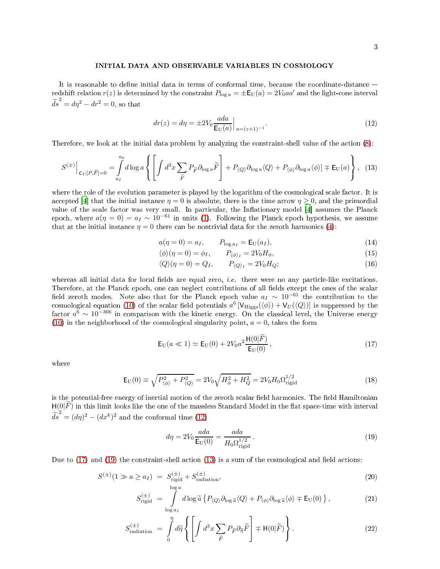### INITIAL DATA AND OBSERVABLE VARIABLES IN COSMOLOGY

It is reasonable to define initial data in terms of conformal time, because the coordinate-distance  $$ redshift relation  $r(z)$  is determined by the constraint  $P_{\log a} = \pm E_U(a) = 2V_0aa'$  and the light-cone interval  $\tilde{ds}^2 = d\eta^2 - dr^2 = 0$ , so that

<span id="page-2-0"></span>
$$
dr(z) = d\eta = \pm 2V_0 \frac{ada}{E_U(a)} \Big|_{a = (z+1)^{-1}}.
$$
\n(12)

Therefore, we look at the initial data problem by analyzing the constraint-shell value of the action  $(8)$ :

<span id="page-2-3"></span>
$$
S^{(\pm)}\Big|_{\mathrm{C}_{\mathrm{U}}[P,\widetilde{F}]=0} = \int\limits_{a_{I}}^{a_{0}} d\log a \left\{ \left[ \int d^{3}x \sum_{\widetilde{F}} P_{\widetilde{F}} \partial_{\log a} \widetilde{F} \right] + P_{\langle Q \rangle} \partial_{\log a} \langle Q \rangle + P_{\langle \phi \rangle} \partial_{\log a} \langle \phi \rangle \right] \mp \mathrm{E}_{\mathrm{U}}(a) \right\}, \tag{13}
$$

where the role of the evolution parameter is played by the logarithm of the cosmological scale factor. It is accepted [4] that the initial instance  $\eta = 0$  is absolute, there is the time arrow  $\eta \geq 0$ , and the primordial value of the scale factor was very small. In particular, the Inflationary model [4] assumes the Planck epoch, where  $a(\eta = 0) = a_I \sim 10^{-61}$  in units [\(1\)](#page-0-1). Following the Planck epoch hypothesis, we assume that at the initial instance  $\eta = 0$  there can be nontrivial data for the zeroth harmonics [\(4\)](#page-1-1):

<span id="page-2-5"></span>
$$
a(\eta = 0) = a_I, \qquad P_{\log a_I} = \mathsf{E}_{\mathrm{U}}(a_I), \tag{14}
$$

$$
\langle \phi \rangle (\eta = 0) = \phi_I, \qquad P_{\langle \phi \rangle_I} = 2V_0 H_{\phi}, \tag{15}
$$

$$
\langle Q \rangle (\eta = 0) = Q_I, \qquad P_{\langle Q \rangle_I} = 2V_0 H_Q; \tag{16}
$$

whereas all initial data for local fields are equal zero, *i.e.* there were no any particle-like excitations. Therefore, at the Planck epoch, one can neglect contributions of all fields except the ones of the scalar field zeroth modes. Note also that for the Planck epoch value  $a_I \sim 10^{-61}$  the contribution to the cosmological equation [\(10\)](#page-1-2) of the scalar field potentials  $a^6$  [V<sub>Higgs</sub>( $\langle \phi \rangle$ ) + V<sub>U</sub>( $\langle Q \rangle$ )] is suppressed by the factor  $a^6 \sim 10^{-366}$  in comparison with the kinetic energy. On the classical level, the Universe energy [\(10\)](#page-1-2) in the neighborhood of the cosmological singularity point,  $a = 0$ , takes the form

<span id="page-2-1"></span>
$$
E_{U}(a \ll 1) \simeq E_{U}(0) + 2V_{0}a^{2} \frac{H(0|\vec{F})}{E_{U}(0)},
$$
\n(17)

where

$$
\mathsf{E}_{\text{U}}(0) \equiv \sqrt{P_{\langle \phi \rangle}^2 + P_{\langle Q \rangle}^2} = 2V_0 \sqrt{H_{\phi}^2 + H_Q^2} = 2V_0 H_0 \Omega_{\text{rigid}}^{1/2}
$$
\n(18)

is the potential-free energy of inertial motion of the zeroth scalar field harmonics. The field Hamiltonian  $H(0|F)$  in this limit looks like the one of the massless Standard Model in the flat space-time with interval  $\tilde{ds}^2 = (d\eta)^2 - (dx^k)^2$  and the conformal time [\(12\)](#page-2-0)

<span id="page-2-2"></span>
$$
d\eta = 2V_0 \frac{ada}{\mathsf{E}_{\mathsf{U}}(0)} = \frac{ada}{H_0 \Omega_{\text{rigid}}^{1/2}}.
$$
\n(19)

Due to  $(17)$  and  $(19)$  the constraint-shell action  $(13)$  is a sum of the cosmological and field actions:

<span id="page-2-4"></span>
$$
S^{(\pm)}(1 \gg a \ge a_I) = S_{\text{rigid}}^{(\pm)} + S_{\text{radiation}}^{(\pm)},\tag{20}
$$

$$
S_{\text{rigid}}^{(\pm)} = \int\limits_{\log a_I}^{\log a} d\log \tilde{a} \left\{ P_{\langle Q \rangle} \partial_{\log \tilde{a}} \langle Q \rangle + P_{\langle \phi \rangle} \partial_{\log \tilde{a}} \langle \phi \rangle + E_U(0) \right\},\tag{21}
$$

$$
S_{\text{radiation}}^{(\pm)} = \int\limits_{0}^{\eta} d\tilde{\eta} \left\{ \left[ \int d^{3}x \sum_{\tilde{F}} P_{\tilde{F}} \partial_{\tilde{\eta}} \tilde{F} \right] \mp \mathsf{H}(0|\tilde{F}) \right\}.
$$
 (22)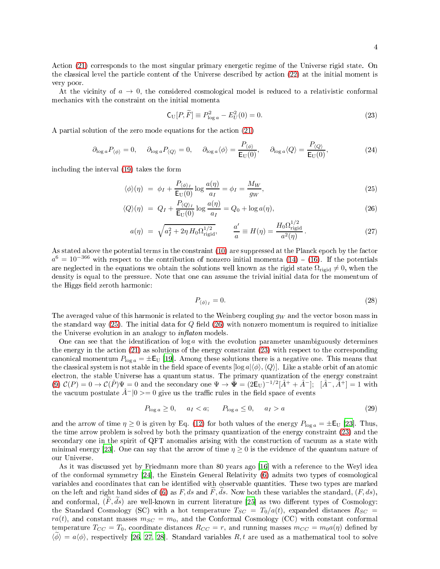Action [\(21\)](#page-2-4) corresponds to the most singular primary energetic regime of the Universe rigid state. On the classical level the particle content of the Universe described by action [\(22\)](#page-2-4) at the initial moment is very poor.

At the vicinity of  $a \to 0$ , the considered cosmological model is reduced to a relativistic conformal me
hani
s with the onstraint on the initial momenta

<span id="page-3-1"></span>
$$
C_{\text{U}}[P,\widetilde{F}] \equiv P_{\log a}^2 - E_U^2(0) = 0.
$$
 (23)

A partial solution of the zero mode equations for the action [\(21\)](#page-2-4)

<span id="page-3-2"></span>
$$
\partial_{\log a} P_{\langle \phi \rangle} = 0, \quad \partial_{\log a} P_{\langle Q \rangle} = 0, \quad \partial_{\log a} \langle \phi \rangle = \frac{P_{\langle \phi \rangle}}{\mathsf{E}_{\mathrm{U}}(0)}, \quad \partial_{\log a} \langle Q \rangle = \frac{P_{\langle Q \rangle}}{\mathsf{E}_{\mathrm{U}}(0)}, \tag{24}
$$

in
luding the interval [\(19\)](#page-2-2) takes the form

<span id="page-3-0"></span>
$$
\langle \phi \rangle(\eta) = \phi_I + \frac{P_{\langle \phi \rangle_I}}{\mathsf{E}_{\mathcal{U}}(0)} \log \frac{a(\eta)}{a_I} = \phi_I = \frac{M_W}{g_W},\tag{25}
$$

$$
\langle Q \rangle(\eta) = Q_I + \frac{P_{\langle Q \rangle_I}}{\mathsf{E}_{\mathsf{U}}(0)} \log \frac{a(\eta)}{a_I} = Q_0 + \log a(\eta),\tag{26}
$$

$$
a(\eta) = \sqrt{a_I^2 + 2\eta \, H_0 \Omega_{\text{rigid}}^{1/2}}, \qquad \frac{a'}{a} \equiv H(\eta) = \frac{H_0 \Omega_{\text{rigid}}^{1/2}}{a^2(\eta)}.
$$
 (27)

As stated above the potential terms in the constraint [\(10\)](#page-1-2) are suppressed at the Planck epoch by the factor  $a^6 = 10^{-366}$  with respect to the contribution of nonzero initial momenta  $(14) - (16)$  $(14) - (16)$  $(14) - (16)$ . If the potentials are neglected in the equations we obtain the solutions well known as the rigid state  $\Omega_{\text{rigid}} \neq 0$ , when the density is equal to the pressure. Note that one an assume the trivial initial data for the momentum of the Higgs field zeroth harmonic:

$$
P_{\langle \phi \rangle_I} = 0. \tag{28}
$$

The averaged value of this harmonic is related to the Weinberg coupling  $g_W$  and the vector boson mass in the standard way  $(25)$ . The initial data for Q field  $(26)$  with nonzero momentum is required to initialize the Universe evolution in an analogy to  $\text{inflation models.}$ 

One can see that the identification of  $log a$  with the evolution parameter unambiguously determines the energy in the action [\(21\)](#page-2-4) as solutions of the energy constraint [\(23\)](#page-3-1) with respect to the corresponding canonical momentum  $P_{\log a} = \pm E_U$  [19]. Among these solutions there is a negative one. This means that the classical system is not stable in the field space of events  $[\log a|\langle\phi\rangle,\langle Q\rangle]$ . Like a stable orbit of an atomic ele
tron, the stable Universe has a quantum status. The primary quantization of the energy onstraint [\(9\)](#page-1-3)  $\mathcal{C}(P) = 0 \to \mathcal{C}(\hat{P})\Psi = 0$  and the secondary one  $\Psi \to \hat{\Psi} = (2E_U)^{-1/2}[\hat{A}^+ + \hat{A}^-];$   $[\hat{A}^-, \hat{A}^+] = 1$  with the vacuum postulate  $\hat{A}^{-}|0\rangle = 0$  give us the traffic rules in the field space of events

$$
P_{\log a} \ge 0, \quad a_I < a; \quad P_{\log a} \le 0, \quad a_I > a \tag{29}
$$

and the arrow of time  $\eta \ge 0$  is given by Eq. [\(12\)](#page-2-0) for both values of the energy  $P_{\log a} = \pm E_U$  [23]. Thus, the time arrow problem is solved by both the primary quantization of the energy onstraint [\(23\)](#page-3-1) and the secondary one in the spirit of QFT anomalies arising with the construction of vacuum as a state with minimal energy [\[23](#page-8-21)]. One can say that the arrow of time  $\eta \geq 0$  is the evidence of the quantum nature of our Universe.

As it was discussed yet by Friedmann more than 80 years ago [16] with a reference to the Weyl idea of the conformal symmetry  $[24]$  $[24]$ , the Einstein General Relativity  $(6)$  admits two types of cosmological variables and coordinates that can be identified with observable quantities. These two types are marked on the left and right hand sides of [\(6\)](#page-1-4) as F, ds and F, ds. Now both these variables the standard,  $(F, ds)$ , and conformal,  $(F, \tilde{ds})$  are well-known in current literature [\[25](#page-8-23)] as two different types of Cosmology: the Standard Cosmology (SC) with a hot temperature  $T_{SC} = T_0/a(t)$ , expanded distances  $R_{SC}$  $ra(t)$ , and constant masses  $m_{SC} = m_0$ , and the Conformal Cosmology (CC) with constant conformal temperature  $T_{CC} = T_0$ , coordinate distances  $R_{CC} = r$ , and running masses  $m_{CC} = m_0 a(\eta)$  defined by  $\langle \phi \rangle = a \langle \phi \rangle$ , respectively [\[26,](#page-8-24) [27](#page-8-25), [28](#page-8-26)]. Standard variables R, t are used as a mathematical tool to solve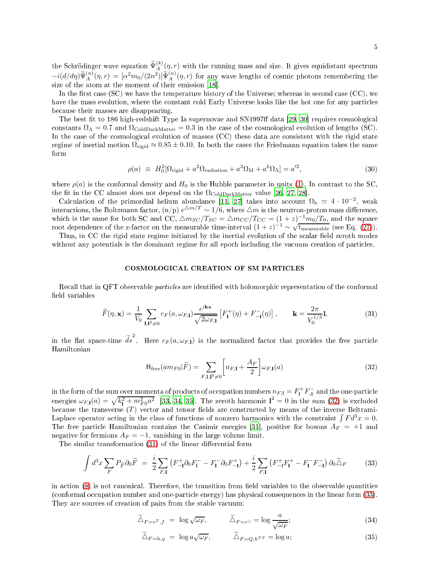the Schrödinger wave equation  $\widetilde{\Psi}_{A}^{(k)}(\eta,r)$  with the running mass and size. It gives equidistant spectrum  $-i(d/d\eta)\tilde{\Psi}_A^{(n)}(\eta,r) = [\alpha^2 m_0/(2n^2)]\tilde{\Psi}_A^{(n)}(\eta,r)$  for any wave lengths of cosmic photons remembering the size of the atom at the atom at the moment of the moment of the moment of the moment of their emission  $\mathbf{18}$ 

In the first case  $(SC)$  we have the temperature history of the Universe; whereas in second case  $(CC)$ , we have the mass evolution, where the constant cold Early Universe looks like the hot one for any particles be
ause their masses are disappearing.

The best fit to 186 high-redshift Type Ia supernovae and SN1997ff data [\[29,](#page-8-27) 30] requires cosmological constants  $\Omega_{\Lambda} = 0.7$  and  $\Omega_{\text{GoldDarkMatter}} = 0.3$  in the case of the cosmological evolution of lengths (SC). In the case of the cosmological evolution of masses (CC) these data are consistent with the rigid state regime of inertial motion  $\Omega_{\text{rigid}} \approx 0.85 \pm 0.10$ . In both the cases the Friedmann equation takes the same form

<span id="page-4-4"></span>
$$
\rho(a) \equiv H_0^2[\Omega_{\text{rigid}} + a^2 \Omega_{\text{radiation}} + a^3 \Omega_M + a^6 \Omega_{\Lambda}] = a'^2,
$$
\n(30)

where  $\rho(a)$  is the conformal density and  $H_0$  is the Hubble parameter in units [\(1\)](#page-0-1). In contrast to the SC, the fit in the CC almost does not depend on the  $\Omega_{\text{GoldDarkMatter}}$  $\Omega_{\text{GoldDarkMatter}}$  $\Omega_{\text{GoldDarkMatter}}$  $\Omega_{\text{GoldDarkMatter}}$  $\Omega_{\text{GoldDarkMatter}}$  value [\[26](#page-8-24), [27](#page-8-25), 28].

Calculation of the primordial helium abundance [11, 27] takes into account  $\Omega_{\rm b} \simeq 4 \cdot 10^{-2}$ , weak interactions, the Boltzmann factor, (n/p)  $e^{\Delta m/T} \sim 1/6$ , where  $\Delta m$  is the neutron-proton mass difference, which is the same for both SC and CC,  $\triangle m_{SC}/T_{SC} = \triangle m_{CC}/T_{CC} = (1+z)^{-1}m_0/T_0$ , and the square root dependence of the z-factor on the measurable time-interval  $(1+z)^{-1} \sim \sqrt{\text{t_{measurable}}}\;$  (see Eq. [\(27\)](#page-3-0)).

Thus, in CC the rigid state regime initiated by the inertial evolution of the scalar field zeroth modes without any potentials is the dominant regime for all epoch including the vacuum creation of particles.

## COSMOLOGICAL CREATION OF SM PARTICLES

Recall that in QFT observable *particles* are identified with holomorphic representation of the conformal field variables

<span id="page-4-1"></span>
$$
\widetilde{F}(\eta, \mathbf{x}) = \frac{1}{V_0} \sum_{\mathbf{l}, \mathbf{l}^2 \neq 0} c_F(a, \omega_{F, \mathbf{l}}) \frac{e^{i\mathbf{k}\mathbf{x}}}{\sqrt{2\omega_{F, \mathbf{l}}}} \left[ F_1^+(\eta) + F_{-\mathbf{l}}^-(\eta) \right], \qquad \mathbf{k} = \frac{2\pi}{V_0^{1/3}} \mathbf{l},\tag{31}
$$

in the flat space-time  $\tilde{ds}^2$ . Here  $c_F(a,\omega_{F,1})$  is the normalized factor that provides the free particle

<span id="page-4-0"></span>
$$
\mathsf{H}_{\text{free}}(am_{F0}|\widetilde{F}) = \sum_{F,\mathbf{l},\mathbf{l}^2 \neq 0} \left[ n_{F,\mathbf{l}} + \frac{A_F}{2} \right] \omega_{F,\mathbf{l}}(a) \tag{32}
$$

in the form of the sum over momenta of products of occupation numbers  $n_{F,1} = F_1^+ F_{-1}^-$  and the one-particle<br>energies  $\omega_{F,1}(a) = \sqrt{k_1^2 + m_{F0}^2 a^2}$  [\[33](#page-8-29), [34,](#page-8-30) [35](#page-8-31)]. The zeroth harmonic  $1^2 = 0$  in the sum [\(32\)](#page-4-0) is exclud because the transverse  $(T)$  vector and tensor fields are constructed by means of the inverse Beltrami-Laplace operator acting in the class of functions of nonzero harmonics with the constraint  $\int F d^3x = 0$ . The free particle Hamiltonian contains the Casimir energies [\[31](#page-8-32)], positive for bosons  $A_F = +1$  and negative for fermions  $A_F = -1$ , vanishing in the large volume limit.

The similar transformation  $(31)$  of the linear differential form

<span id="page-4-2"></span>
$$
\int d^3x \sum_F P_{\tilde{F}} \partial_0 \tilde{F} = \frac{i}{2} \sum_{F,1} \left( F_{-1}^+ \partial_0 F_1^- - F_1^- \partial_0 F_{-1}^+ \right) + \frac{i}{2} \sum_{F,1} \left( F_{-1}^+ F_1^+ - F_1^- F_{-1}^- \right) \partial_0 \tilde{\Delta}_F \tag{33}
$$

in action [\(8\)](#page-1-0) is not canonical. Therefore, the transition from field variables to the observable quantities (conformal occupation number and one-particle energy) has physical consequences in the linear form [\(33\)](#page-4-2). They are sources of creation of pairs from the stable vacuum:

<span id="page-4-3"></span>
$$
\widetilde{\triangle}_{F=v^T, f} = \log \sqrt{\omega_F}, \qquad \widetilde{\triangle}_{F=v^{||}} = \log \frac{a}{\sqrt{\omega_F}};
$$
\n(34)

$$
\widetilde{\Delta}_{F=h,q} = \log a \sqrt{\omega_F}, \qquad \widetilde{\Delta}_{F=Q,h^{TT}} = \log a; \qquad (35)
$$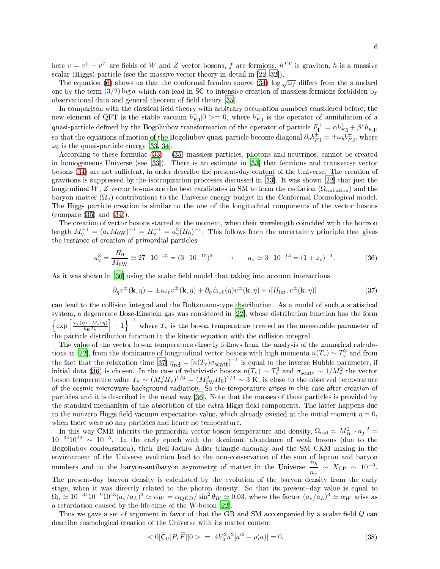here  $v=v^{||}+v^T$  are fields of  $W$  and  $Z$  vector bosons,  $f$  are fermions,  $h^{TT}$  is graviton,  $h$  is a massive scalar (Higgs) particle (see the massive vector theory in detail in [\[22](#page-8-33), [32](#page-8-34)]).

The equation [\(6\)](#page-1-4) shows us that the conformal fermion source [\(34\)](#page-4-3)  $\log \sqrt{\omega_f}$  differs from the standard one by the term  $(3/2)$  log a which can lead in SC to intensive creation of massless fermions forbidden by observational data and general theorem of field theory [35].

In comparison with the classical field theory with arbitrary occupation numbers considered before, the new element of QFT is the stable vacuum  $b_{F,1}^-|0\rangle = 0$ , where  $b_{F,1}^-$  is the operator of annihilation of a quasi-particle defined by the Bogoliubov transformation of the operator of particle  $F_1^+ = \alpha b_{F,1}^+ + \beta^* b_{F,1}^$ so that the equations of motion of the Bogoliubov quasi-particle become diagonal  $\partial_{\eta}b_{F,1}^{\pm} = \pm \omega_{b}b_{F,1}^{\pm}$ , where  $\omega_b$  is the quasi-particle energy [\[33](#page-8-29), [34](#page-8-30)].

According to these formulae  $(33) - (35)$  $(33) - (35)$  $(33) - (35)$  massless particles, photons and neutrinos, cannot be created in homogeneous Universe (see  $[33]$ ). There is an estimate in  $[33]$  that fermions and transverse vector bosons [\(34\)](#page-4-3) are not sufficient, in order describe the present-day content of the Universe. The creation of gravitons is suppressed by the isotropization processes discussed in [33]. It was shown [\[22](#page-8-33)] that just the longitudinal W, Z vector bosons are the best candidates in SM to form the radiation ( $\Omega_{\text{radiation}}$ ) and the baryon matter  $(\Omega_b)$  contributions to the Universe energy budget in the Conformal Cosmological model. The Higgs particle creation is similar to the one of the longitudinal components of the vector bosons (
ompare [\(35\)](#page-4-3) and [\(34\)](#page-4-3)).

The creation of vector bosons started at the moment, when their wavelength coincided with the horizon length  $M_{\rm v}^{-1} = (a_{\rm v} M_{\rm 0W})^{-1} = H_{\rm v}^{-1} = a_{\rm v}^2 (H_0)^{-1}$ . This follows from the uncertainty principle that gives the instance of creation of primordial particles

<span id="page-5-0"></span>
$$
a_v^3 = \frac{H_0}{M_{0W}} \simeq 27 \cdot 10^{-45} = (3 \cdot 10^{-15})^3 \qquad \rightarrow \qquad a_v \simeq 3 \cdot 10^{-15} = (1 + z_v)^{-1}.
$$
 (36)

As it was shown in [36] using the scalar field model that taking into account interactions

<span id="page-5-1"></span>
$$
\partial_{\eta} v^{\pm}(\mathbf{k}, \eta) = \pm i\omega_{v} v^{\pm}(\mathbf{k}, \eta) + \partial_{\eta} \triangle_{v}(\eta) v^{\pm}(\mathbf{k}, \eta) + i[H_{\text{int}}, v^{\pm}(\mathbf{k}, \eta)] \tag{37}
$$

can lead to the collision integral and the Boltzmann-type distribution. As a model of such a statistical system, a degenerate Bose-Einstein gas was considered in [22], whose distribution function has the form  $\biggl\{\exp\Big[\frac{\omega_{\rm v}(\eta)-M_{\rm v}(\eta)}{k_{\rm B}T}\Big]$  $k_{\rm B}T_{\rm v}$  $\Big[-1\Big]$ <sup>-1</sup> where  $T_{\rm v}$  is the boson temperature treated as the measurable parameter of the particle distribution function in the kinetic equation with the collision integral.

The value of the vector boson temperature directly follows from the analysis of the numerical calcula-tions in [\[22](#page-8-33)], from the dominance of longitudinal vector bosons with high momenta  $n(T_{\rm v}) \sim T_{\rm v}^3$  and from the fact that the relaxation time [\[37](#page-9-0)]  $\eta_{rel} = [n(T_v)\sigma_{scatt}]^{-1}$  is equal to the inverse Hubble parameter, if<br>initial data [\(36\)](#page-5-0) is chosen. In the case of relativistic bosons  $n(T_v) \sim T_v^3$  and  $\sigma_{scatt} \sim 1/M_v^2$  the vector<br>boson of the cosmic microwave background radiation. So the temperature arises in this case after creation of particles and it is described in the usual way [\[36](#page-8-35)]. Note that the masses of those particles is provided by the standard mechanism of the absorbtion of the extra Higgs field components. The latter happens due to the nonzero Higgs field vacuum expectation value, which already existed at the initial moment  $\eta = 0$ , when there were no any particles and hence no temperature.

In this way CMB inherits the primordial vector boson temperature and density,  $\Omega_{\text{rad}} \simeq M_W^2 \cdot a_I^{-2} =$  $10^{-34}10^{29} \sim 10^{-5}$  In the early epoch with the dominant abundance of weak bosons (due to the Bogoliubov ondensation), their Bell-Ja
kiw-Adler triangle anomaly and the SM CKM mixing in the environment of the Universe evolution lead to the nononservation of the sum of lepton and baryon numbers and to the baryon-antibaryon asymmetry of matter in the Universe  $\frac{n_b}{n_b}$  $\frac{n_b}{n_\gamma} \sim X_{\rm CP} \sim 10^{-9}$ .

The present-day baryon density is calculated by the evolution of the baryon density from the early stage, when it was directly related to the photon density. So that its present-day value is equal to  $\Omega_{\rm b} \simeq 10^{-34} 10^{-9} 10^{43} (a_{\rm v}/a_{\rm L})^3 \simeq \alpha_W = \alpha_{\rm QED}/\sin^2 \theta_W \simeq 0.03$ , where the factor  $(a_{\rm v}/a_{\rm L})^3 \simeq \alpha_W$  arise as a retardation caused by the life-time of the W-boson  $[22]$ .

Thus we gave a set of argument in favor of that the GR and SM accompanied by a scalar field  $Q$  can describe cosmological creation of the Universe with its matter content

$$
\langle 0|\hat{\mathsf{C}}_{\mathsf{U}}[P,\widetilde{F}]|0\rangle = 4V_0^2a^2[a'^2 - \rho(a)] = 0,\tag{38}
$$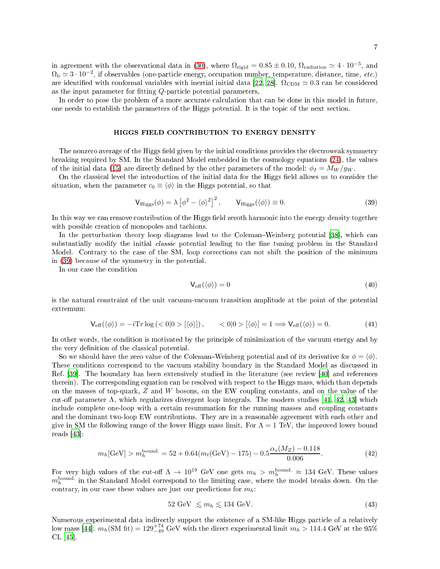In order to pose the problem of a more accurate calculation that can be done in this model in future, one needs to establish the parameters of the Higgs potential. It is the topic of the next section.

#### HIGGS FIELD CONTRIBUTION TO ENERGY DENSITY

The nonzero average of the Higgs field given by the initial conditions provides the electroweak symmetry breaking required by SM. In the Standard Model embedded in the osmology equations [\(24\)](#page-3-2), the values of the initial data [\(15\)](#page-2-5) are directly defined by the other parameters of the model:  $\phi_I = M_W / g_W$ .

On the classical level the introduction of the initial data for the Higgs field allows us to consider the situation, when the parameter  $c_0 \equiv \langle \phi \rangle$  in the Higgs potential, so that

<span id="page-6-0"></span>
$$
V_{\text{Higgs}}(\phi) = \lambda \left[\phi^2 - \langle \phi \rangle^2\right]^2, \qquad V_{\text{Higgs}}(\langle \phi \rangle) \equiv 0. \tag{39}
$$

In this way we can remove contribution of the Higgs field zeroth harmonic into the energy density together with possible creation of monopoles and tachions.

In the perturbation theory loop diagrams lead to the Coleman–Weinberg potential  $[38]$ , which can substantially modify the initial *classic* potential leading to the fine tuning problem in the Standard Model. Contrary to the case of the SM, loop corrections can not shift the position of the minimum in [\(39\)](#page-6-0) be
ause of the symmetry in the potential.

In our ase the ondition

$$
V_{\text{eff}}(\langle \phi \rangle) = 0 \tag{40}
$$

is the natural onstraint of the unit va
uum-va
uum transition amplitude at the point of the potential extremum:

$$
V_{\text{eff}}(\langle \phi \rangle) = -i \text{Tr} \log \left( \langle 0 | 0 \rangle \left[ \langle \phi \rangle \right] \right), \qquad \langle 0 | 0 \rangle \left[ \langle \phi \rangle \right] = 1 \Longrightarrow V_{\text{eff}}(\langle \phi \rangle) = 0. \tag{41}
$$

In other words, the condition is motivated by the principle of minimization of the vacuum energy and by the very definition of the classical potential.

So we should have the zero value of the Coleman–Weinberg potential and of its derivative for  $\phi = \langle \phi \rangle$ . These conditions correspond to the vacuum stability boundary in the Standard Model as discussed in Ref. [\[39](#page-9-2)]. The boundary has been extensively studied in the literature (see review [\[40](#page-9-3)] and references therein). The corresponding equation can be resolved with respect to the Higgs mass, which than depends on the masses of top-quark, Z and W bosons, on the EW oupling onstants, and on the value of the cut-off parameter  $\Lambda$ , which regularizes divergent loop integrals. The modern studies [\[41,](#page-9-4) [42](#page-9-5), 43] which in
lude omplete one-loop with a ertain resummation for the running masses and oupling onstants and the dominant two-loop EW contributions. They are in a reasonable agreement with each other and give in SM the following range of the lower Higgs mass limit. For  $\Lambda = 1$  TeV, the improved lower bound reads  $[43]$ :

$$
m_h[\text{GeV}] > m_h^{\text{bound.}} = 52 + 0.64(m_t(\text{GeV}) - 175) - 0.5\frac{\alpha_s(M_Z) - 0.118}{0.006}.\tag{42}
$$

For very high values of the cut-off  $\Lambda \to 10^{19}$  GeV one gets  $m_h > m_h^{\text{bound}} \approx 134$  GeV. These values  $m_h^{\rm bound.}$  in the Standard Model correspond to the limiting case, where the model breaks down. On the contrary, in our case these values are just our predictions for  $m_h$ .

$$
52 \text{ GeV } \lesssim m_h \lesssim 134 \text{ GeV}.
$$
 (43)

Numerous experimental data indirectly support the existence of a SM-like Higgs particle of a relatively low mass [44]:  $m_h(\text{SM fit}) = 129^{+74}_{-49} \text{ GeV}$  with the direct experimental limit  $m_h > 114.4 \text{ GeV}$  at the 95%  $CL$  [45].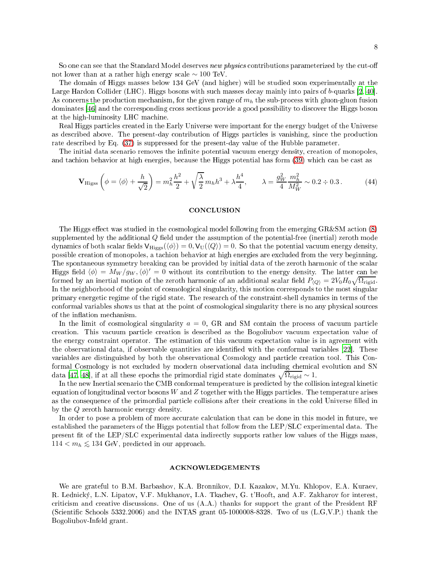So one can see that the Standard Model deserves new physics contributions parameterized by the cut-off not lower than at a rather high energy scale  $\sim 100$  TeV.

The domain of Higgs masses below 134 GeV (and higher) will be studied soon experimentally at the Large Hardon Collider (LHC). Higgs bosons with such masses decay mainly into pairs of  $b$ -quarks [\[2](#page-8-1), 40]. As concerns the production mechanism, for the given range of  $m_h$  the sub-process with gluon-gluon fusion dominates [46] and the corresponding cross sections provide a good possibility to discover the Higgs boson at the high-luminosity LHC ma
hine.

Real Higgs parti
les reated in the Early Universe were important for the energy budget of the Universe as described above. The present-day contribution of Higgs particles is vanishing, since the production rate des
ribed by Eq. [\(37\)](#page-5-1) is suppressed for the present-day value of the Hubble parameter.

The initial data scenario removes the infinite potential vacuum energy density, creation of monopoles, and tachion behavior at high energies, because the Higgs potential has form [\(39\)](#page-6-0) which can be cast as

$$
\mathbf{V}_{\text{Higgs}}\left(\phi = \langle \phi \rangle + \frac{h}{\sqrt{2}}\right) = m_h^2 \frac{h^2}{2} + \sqrt{\frac{\lambda}{2}} m_h h^3 + \lambda \frac{h^4}{4}, \qquad \lambda = \frac{g_W^2}{4} \frac{m_h^2}{M_W^2} \sim 0.2 \div 0.3\,. \tag{44}
$$

#### CONCLUSION

The Higgs effect was studied in the cosmological model following from the emerging  $GR\&SM$  action [\(8\)](#page-1-0) supplemented by the additional  $Q$  field under the assumption of the potential-free (inertial) zeroth mode dynamics of both scalar fields  $V_{\text{Higgs}}(\langle \phi \rangle) = 0$ ,  $V_U(\langle Q \rangle) = 0$ . So that the potential vacuum energy density, possible reation of monopoles, a ta
hion behavior at high energies are ex
luded from the very beginning. The spontaneous symmetry breaking can be provided by initial data of the zeroth harmonic of the scalar Higgs field  $\langle \phi \rangle = M_W / g_W, \langle \phi \rangle' = 0$  without its contribution to the energy density. The latter can be formed by an inertial motion of the zeroth harmonic of an additional scalar field  $P_{\langle Q \rangle} = 2V_0H_0\sqrt{\Omega_{\text{rigid}}}\$ . In the neighborhood of the point of cosmological singularity, this motion corresponds to the most singular primary energetic regime of the rigid state. The research of the constraint-shell dynamics in terms of the conformal variables shows us that at the point of cosmological singularity there is no any physical sources of the inflation mechanism.

In the limit of cosmological singularity  $a = 0$ , GR and SM contain the process of vacuum particle creation. This vacuum particle creation is described as the Bogoliubov vacuum expectation value of the energy constraint operator. The estimation of this vacuum expectation value is in agreement with the observational data, if observable quantities are identified with the conformal variables [22]. These variables are distinguished by both the observational Cosmology and particle creation tool. This Conformal Cosmology is not excluded by modern observational data including chemical evolution and SN data [\[47,](#page-9-10) 48], if at all these epochs the primordial rigid state dominates  $\sqrt{\Omega_{\text{rigid}}} \sim 1$ .

In the new Inertial scenario the CMB conformal temperature is predicted by the collision integral kinetic equation of longitudinal vector bosons W and  $Z$  together with the Higgs particles. The temperature arises as the consequence of the primordial particle collisions after their creations in the cold Universe filled in by the Q zeroth harmoni energy density.

In order to pose a problem of more accurate calculation that can be done in this model in future, we established the parameters of the Higgs potential that follow from the LEP/SLC experimental data. The present fit of the LEP/SLC experimental data indirectly supports rather low values of the Higgs mass, 114  $<$   $m_h$  ≲ 134 GeV, predicted in our approach.

# ACKNOWLEDGEMENTS

We are grateful to B.M. Barbashov, K.A. Bronnikov, D.I. Kazakov, M.Yu. Khlopov, E.A. Kuraev, R. Lednický, L.N. Lipatov, V.F. Mukhanov, I.A. Tkachev, G. t'Hooft, and A.F. Zakharov for interest, criticism and creative discussions. One of us  $(A.A.)$  thanks for support the grant of the President RF (Scientific Schools 5332.2006) and the INTAS grant 05-1000008-8328. Two of us  $(L.G, V.P.)$  thank the Bogoliubov-Infeld grant.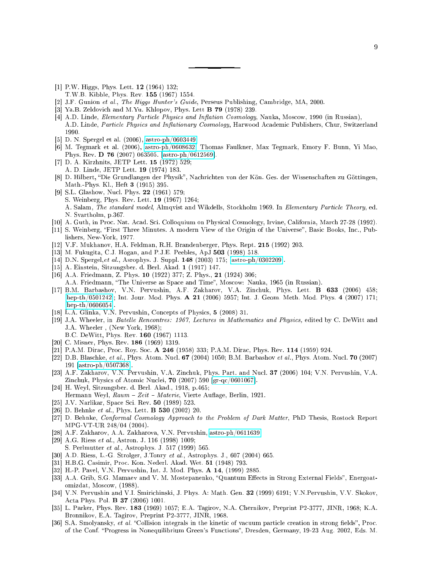- <span id="page-8-0"></span>[1] P.W. Higgs, Phys. Lett.  $12$  (1964) 132;
- T.W.B. Kibble, Phys. Rev. 155 (1967) 1554.
- <span id="page-8-1"></span>[2] J.F. Gunion et al., The Higgs Hunter's Guide, Perseus Publishing, Cambridge, MA, 2000.
- <span id="page-8-2"></span>[3] Ya.B. Zeldovich and M.Yu. Khlopov, Phys. Lett **B 79** (1978) 239.
- <span id="page-8-3"></span>[4] A.D. Linde, Elementary Particle Physics and Inflation Cosmology, Nauka, Moscow, 1990 (in Russian), A.D. Linde, Particle Physics and Inflationary Cosmology, Harwood Academic Publishers, Chur, Switzerland 1990.
- <span id="page-8-4"></span>[5] D. N. Spergel et al.  $(2006)$ , [astro-ph/0603449.](http://arxiv.org/abs/astro-ph/0603449)
- <span id="page-8-5"></span>[6] M. Tegmark et al. (2006), [astro-ph/0608632;](http://arxiv.org/abs/astro-ph/0608632) Thomas Faulkner, Max Tegmark, Emory F. Bunn, Yi Mao, Phys. Rev. D 76 (2007) 063505. [astro-ph/0612569].
- <span id="page-8-6"></span>[7] D. A. Kirzhnits, JETP Lett. 15 (1972) 529;
- A. D. Linde, JETP Lett. 19 (1974) 183.
- <span id="page-8-7"></span>[8] D. Hilbert, "Die Grundlangen der Physik", Nachrichten von der Kön. Ges. der Wissenschaften zu Göttingen, Math.-Phys. Kl., Heft 3 (1915) 395.
- <span id="page-8-8"></span>[9] S.L. Glashow, Nucl. Phys. 22 (1961) 579; S. Weinberg, Phys. Rev. Lett. 19 (1967) 1264; A. Salam, The standard model, Almqvist and Wikdells, Stockholm 1969. In Elementary Particle Theory, ed. N. Svartholm, p.367.
- <span id="page-8-9"></span>[10] A. Guth, in Proc. Nat. Acad. Sci. Colloquium on Physical Cosmology, Irvine, California, March 27-28 (1992).
- <span id="page-8-10"></span>[11] S. Weinberg, "First Three Minutes. A modern View of the Origin of the Universe", Basic Books, Inc., Publishers, New-York, 1977.
- <span id="page-8-11"></span>[12] V.F. Mukhanov, H.A. Feldman, R.H. Brandenberger, Phys. Rept. 215 (1992) 203.
- <span id="page-8-12"></span>[13] M. Fukugita, C.J. Hogan, and P.J.E. Peebles, ApJ 503 (1998) 518.
- <span id="page-8-13"></span>[14] D.N. Spergel, et al., Asrophys. J. Suppl.  $148$  (2003) 175; [astro-ph/0302209].
- <span id="page-8-14"></span>[15] A. Einstein, Sitzungsber. d. Berl. Akad.  $1$  (1917) 147.
- <span id="page-8-15"></span>[16] A.A. Friedmann, Z. Phys. 10 (1922) 377; Z. Phys., 21 (1924) 306; A.A. Friedmann, "The Universe as Space and Time", Moscow: Nauka, 1965 (in Russian).
- <span id="page-8-16"></span>[17] B.M. Barbashov, V.N. Pervushin, A.F. Zakharov, V.A. Zinchuk, Phys. Lett. **B 633** (2006) 458;  $[hep-th/0501242]$ ; Int. Jour. Mod. Phys. A 21 (2006) 5957; Int. J. Geom. Meth. Mod. Phys. 4 (2007) 171;  $[hep-th/0606054].$
- <span id="page-8-17"></span>[18] L.A. Glinka, V.N. Pervushin, Concepts of Physics,  $5$  (2008) 31.
- <span id="page-8-18"></span>[19] J.A. Wheeler, in Batelle Rencontres: 1967, Lectures in Mathematics and Physics, edited by C. DeWitt and J.A. Wheeler , (New York, 1968);
	- B.C. DeWitt, Phys. Rev. 160 (1967) 1113.
- <span id="page-8-19"></span>[20] C. Misner, Phys. Rev. 186 (1969) 1319.
- <span id="page-8-20"></span>[21] P.A.M. Dirac, Proc. Roy. Soc. A 246 (1958) 333; P.A.M. Dirac, Phys. Rev. 114 (1959) 924.
- <span id="page-8-33"></span>[22] D.B. Blaschke, et al., Phys. Atom. Nucl. 67 (2004) 1050; B.M. Barbashov et al., Phys. Atom. Nucl. 70 (2007) 191  $[astro-ph/0507368]$ .
- <span id="page-8-21"></span>[23] A.F. Zakharov, V.N. Pervushin, V.A. Zinchuk, Phys. Part. and Nucl. 37 (2006) 104; V.N. Pervushin, V.A. Zinchuk, Physics of Atomic Nuclei, 70 (2007) 590 [gr-qc/0601067].
- <span id="page-8-22"></span>[24] H. Weyl, Sitzungsber. d. Berl. Akad., 1918, p.465; Hermann Weyl, Raum - Zeit - Materie, Vierte Auflage, Berlin, 1921.
- <span id="page-8-23"></span>[25] J.V. Narlikar, Space Sci. Rev. 50 (1989) 523.
- <span id="page-8-24"></span>[26] D. Behnke et al., Phys. Lett. **B 530** (2002) 20.
- <span id="page-8-25"></span>[27] D. Behnke, Conformal Cosmology Approach to the Problem of Dark Matter, PhD Thesis, Rostock Report MPG-VT-UR 248/04 (2004).
- <span id="page-8-26"></span>[28] A.F. Zakharov, A.A. Zakharova, V.N. Pervushin, [astro-ph/0611639.](http://arxiv.org/abs/astro-ph/0611639)
- <span id="page-8-27"></span>[29] A.G. Riess et al., Astron. J. 116 (1998) 1009;
- S. Perlmutter et al., Astrophys. J. 517 (1999) 565.
- <span id="page-8-28"></span>[30] A.D. Riess, L.-G. Strolger, J.Tonry et al., Astrophys. J., 607 (2004) 665.
- <span id="page-8-32"></span>[31] H.B.G. Casimir, Proc. Kon. Nederl. Akad. Wet. 51 (1948) 793.
- <span id="page-8-34"></span>[32] H.-P. Pavel, V.N. Pervushin, Int. J. Mod. Phys. A 14, (1999) 2885.
- <span id="page-8-29"></span>[33] A.A. Grib, S.G. Mamaev and V. M. Mostepanenko, "Quantum Effects in Strong External Fields", Energoatomizdat, Mos
ow, (1988).
- <span id="page-8-30"></span>[34] V.N. Pervushin and V.I. Smirichinski, J. Phys. A: Math. Gen. 32 (1999) 6191; V.N. Pervushin, V.V. Skokov, Acta Phys. Pol. **B 37** (2006) 1001.
- <span id="page-8-31"></span>[35] L. Parker, Phys. Rev. 183 (1969) 1057; E.A. Tagirov, N.A. Chernikov, Preprint P2-3777, JINR, 1968; K.A. Bronnikov, E.A. Tagirov, Preprint P2-3777, JINR, 1968.
- <span id="page-8-35"></span>[36] S.A. Smolyansky, et al. "Collision integrals in the kinetic of vacuum particle creation in strong fields", Proc. of the Conf. "Progress in Nonequilibrium Green's Functions", Dresden, Germany, 19-23 Aug. 2002, Eds. M.